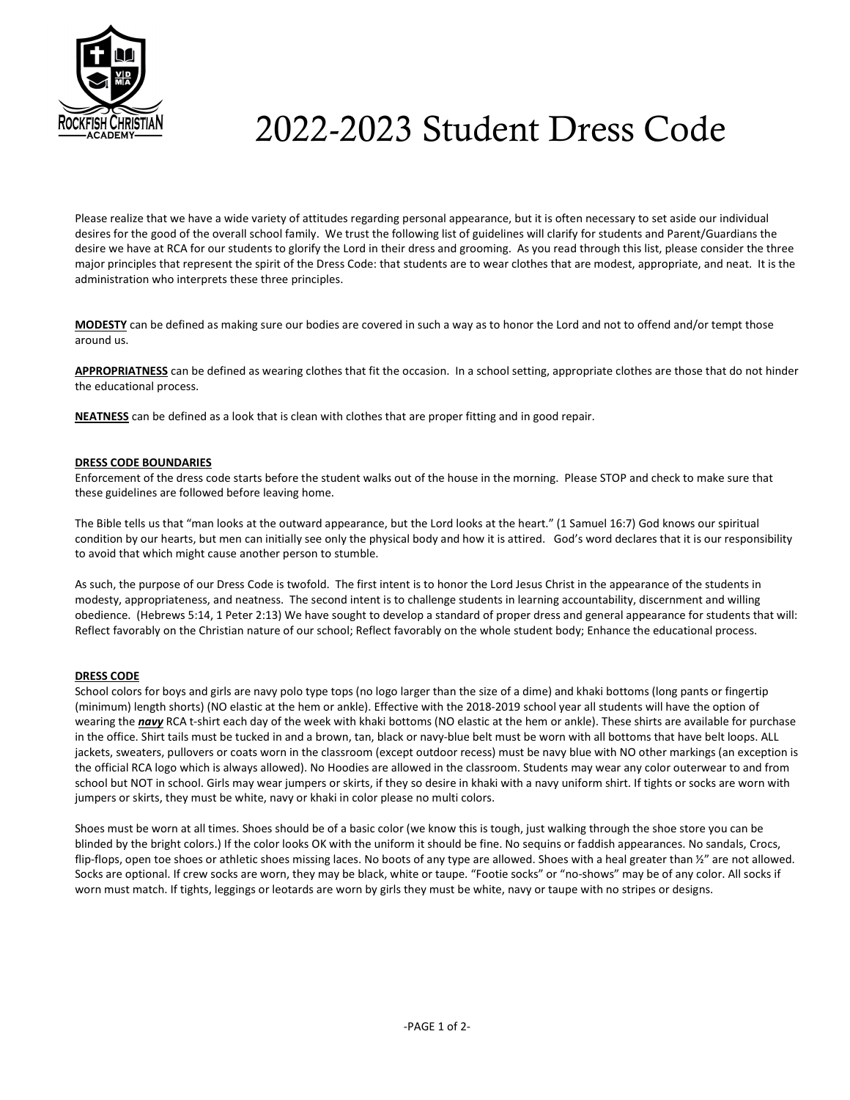

# 2022-2023 Student Dress Code

Please realize that we have a wide variety of attitudes regarding personal appearance, but it is often necessary to set aside our individual desires for the good of the overall school family. We trust the following list of guidelines will clarify for students and Parent/Guardians the desire we have at RCA for our students to glorify the Lord in their dress and grooming. As you read through this list, please consider the three major principles that represent the spirit of the Dress Code: that students are to wear clothes that are modest, appropriate, and neat. It is the administration who interprets these three principles.

MODESTY can be defined as making sure our bodies are covered in such a way as to honor the Lord and not to offend and/or tempt those around us.

APPROPRIATNESS can be defined as wearing clothes that fit the occasion. In a school setting, appropriate clothes are those that do not hinder the educational process.

NEATNESS can be defined as a look that is clean with clothes that are proper fitting and in good repair.

# DRESS CODE BOUNDARIES

Enforcement of the dress code starts before the student walks out of the house in the morning. Please STOP and check to make sure that these guidelines are followed before leaving home.

The Bible tells us that "man looks at the outward appearance, but the Lord looks at the heart." (1 Samuel 16:7) God knows our spiritual condition by our hearts, but men can initially see only the physical body and how it is attired. God's word declares that it is our responsibility to avoid that which might cause another person to stumble.

As such, the purpose of our Dress Code is twofold. The first intent is to honor the Lord Jesus Christ in the appearance of the students in modesty, appropriateness, and neatness. The second intent is to challenge students in learning accountability, discernment and willing obedience. (Hebrews 5:14, 1 Peter 2:13) We have sought to develop a standard of proper dress and general appearance for students that will: Reflect favorably on the Christian nature of our school; Reflect favorably on the whole student body; Enhance the educational process.

# DRESS CODE

School colors for boys and girls are navy polo type tops (no logo larger than the size of a dime) and khaki bottoms (long pants or fingertip (minimum) length shorts) (NO elastic at the hem or ankle). Effective with the 2018-2019 school year all students will have the option of wearing the navy RCA t-shirt each day of the week with khaki bottoms (NO elastic at the hem or ankle). These shirts are available for purchase in the office. Shirt tails must be tucked in and a brown, tan, black or navy-blue belt must be worn with all bottoms that have belt loops. ALL jackets, sweaters, pullovers or coats worn in the classroom (except outdoor recess) must be navy blue with NO other markings (an exception is the official RCA logo which is always allowed). No Hoodies are allowed in the classroom. Students may wear any color outerwear to and from school but NOT in school. Girls may wear jumpers or skirts, if they so desire in khaki with a navy uniform shirt. If tights or socks are worn with jumpers or skirts, they must be white, navy or khaki in color please no multi colors.

Shoes must be worn at all times. Shoes should be of a basic color (we know this is tough, just walking through the shoe store you can be blinded by the bright colors.) If the color looks OK with the uniform it should be fine. No sequins or faddish appearances. No sandals, Crocs, flip-flops, open toe shoes or athletic shoes missing laces. No boots of any type are allowed. Shoes with a heal greater than  $\frac{1}{2}$  are not allowed. Socks are optional. If crew socks are worn, they may be black, white or taupe. "Footie socks" or "no-shows" may be of any color. All socks if worn must match. If tights, leggings or leotards are worn by girls they must be white, navy or taupe with no stripes or designs.